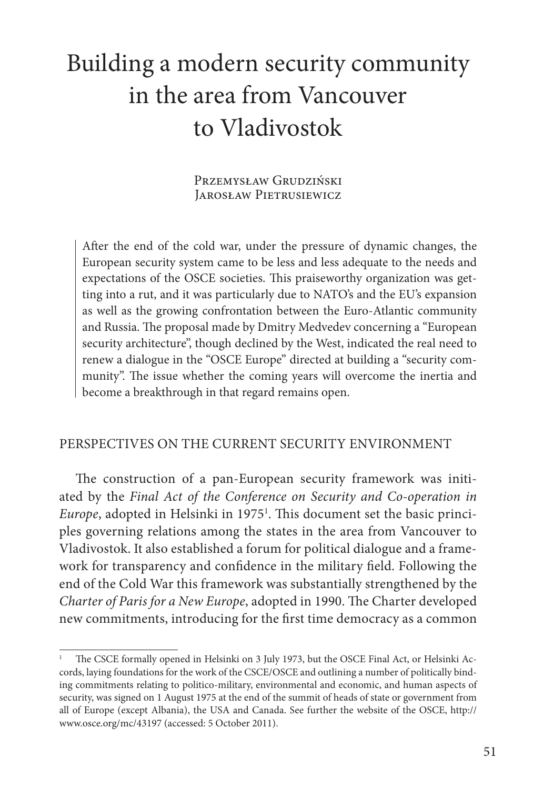# Building a modern security community in the area from Vancouver to Vladivostok

Przemysław Grudziński Jarosław Pietrusiewicz

After the end of the cold war, under the pressure of dynamic changes, the European security system came to be less and less adequate to the needs and expectations of the OSCE societies. This praiseworthy organization was getting into a rut, and it was particularly due to NATO's and the EU's expansion as well as the growing confrontation between the Euro-Atlantic community and Russia. The proposal made by Dmitry Medvedev concerning a "European security architecture", though declined by the West, indicated the real need to renew a dialogue in the "OSCE Europe" directed at building a "security community". The issue whether the coming years will overcome the inertia and become a breakthrough in that regard remains open.

#### PERSPECTIVES ON THE CURRENT SECURITY ENVIRONMENT

The construction of a pan-European security framework was initiated by the *Final Act of the Conference on Security and Co-operation in*  Europe, adopted in Helsinki in 1975<sup>1</sup>. This document set the basic principles governing relations among the states in the area from Vancouver to Vladivostok. It also established a forum for political dialogue and a framework for transparency and confidence in the military field. Following the end of the Cold War this framework was substantially strengthened by the *Charter of Paris for a New Europe*, adopted in 1990. The Charter developed new commitments, introducing for the first time democracy as a common

The CSCE formally opened in Helsinki on 3 July 1973, but the OSCE Final Act, or Helsinki Accords, laying foundations for the work of the CSCE/OSCE and outlining a number of politically binding commitments relating to politico-military, environmental and economic, and human aspects of security, was signed on 1 August 1975 at the end of the summit of heads of state or government from all of Europe (except Albania), the USA and Canada. See further the website of the OSCE, http:// www.osce.org/mc/43197 (accessed: 5 October 2011).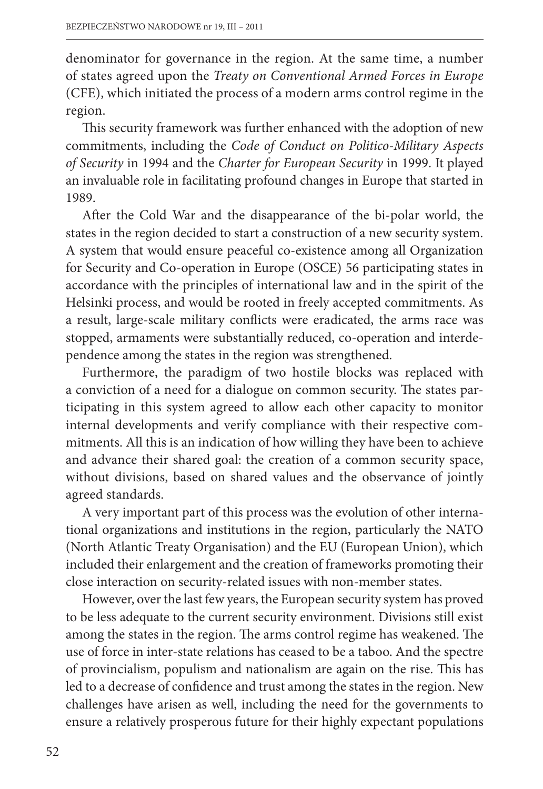denominator for governance in the region. At the same time, a number of states agreed upon the *Treaty on Conventional Armed Forces in Europe* (CFE), which initiated the process of a modern arms control regime in the region.

This security framework was further enhanced with the adoption of new commitments, including the *Code of Conduct on Politico-Military Aspects of Security* in 1994 and the *Charter for European Security* in 1999. It played an invaluable role in facilitating profound changes in Europe that started in 1989.

After the Cold War and the disappearance of the bi-polar world, the states in the region decided to start a construction of a new security system. A system that would ensure peaceful co-existence among all Organization for Security and Co-operation in Europe (OSCE) 56 participating states in accordance with the principles of international law and in the spirit of the Helsinki process, and would be rooted in freely accepted commitments. As a result, large-scale military conflicts were eradicated, the arms race was stopped, armaments were substantially reduced, co-operation and interdependence among the states in the region was strengthened.

Furthermore, the paradigm of two hostile blocks was replaced with a conviction of a need for a dialogue on common security. The states participating in this system agreed to allow each other capacity to monitor internal developments and verify compliance with their respective commitments. All this is an indication of how willing they have been to achieve and advance their shared goal: the creation of a common security space, without divisions, based on shared values and the observance of jointly agreed standards.

A very important part of this process was the evolution of other international organizations and institutions in the region, particularly the NATO (North Atlantic Treaty Organisation) and the EU (European Union), which included their enlargement and the creation of frameworks promoting their close interaction on security-related issues with non-member states.

However, over the last few years, the European security system has proved to be less adequate to the current security environment. Divisions still exist among the states in the region. The arms control regime has weakened. The use of force in inter-state relations has ceased to be a taboo. And the spectre of provincialism, populism and nationalism are again on the rise. This has led to a decrease of confidence and trust among the states in the region. New challenges have arisen as well, including the need for the governments to ensure a relatively prosperous future for their highly expectant populations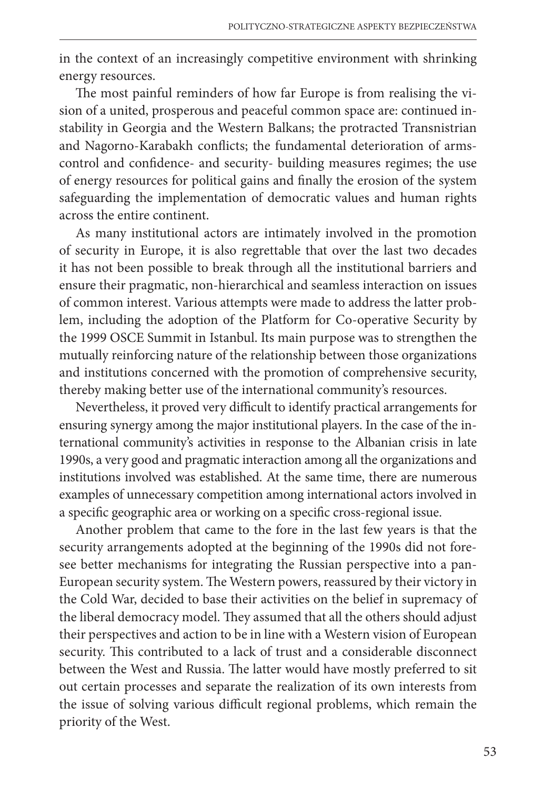in the context of an increasingly competitive environment with shrinking energy resources.

The most painful reminders of how far Europe is from realising the vision of a united, prosperous and peaceful common space are: continued instability in Georgia and the Western Balkans; the protracted Transnistrian and Nagorno-Karabakh conflicts; the fundamental deterioration of armscontrol and confidence- and security- building measures regimes; the use of energy resources for political gains and finally the erosion of the system safeguarding the implementation of democratic values and human rights across the entire continent.

As many institutional actors are intimately involved in the promotion of security in Europe, it is also regrettable that over the last two decades it has not been possible to break through all the institutional barriers and ensure their pragmatic, non-hierarchical and seamless interaction on issues of common interest. Various attempts were made to address the latter problem, including the adoption of the Platform for Co-operative Security by the 1999 OSCE Summit in Istanbul. Its main purpose was to strengthen the mutually reinforcing nature of the relationship between those organizations and institutions concerned with the promotion of comprehensive security, thereby making better use of the international community's resources.

Nevertheless, it proved very difficult to identify practical arrangements for ensuring synergy among the major institutional players. In the case of the international community's activities in response to the Albanian crisis in late 1990s, a very good and pragmatic interaction among all the organizations and institutions involved was established. At the same time, there are numerous examples of unnecessary competition among international actors involved in a specific geographic area or working on a specific cross-regional issue.

Another problem that came to the fore in the last few years is that the security arrangements adopted at the beginning of the 1990s did not foresee better mechanisms for integrating the Russian perspective into a pan-European security system. The Western powers, reassured by their victory in the Cold War, decided to base their activities on the belief in supremacy of the liberal democracy model. They assumed that all the others should adjust their perspectives and action to be in line with a Western vision of European security. This contributed to a lack of trust and a considerable disconnect between the West and Russia. The latter would have mostly preferred to sit out certain processes and separate the realization of its own interests from the issue of solving various difficult regional problems, which remain the priority of the West.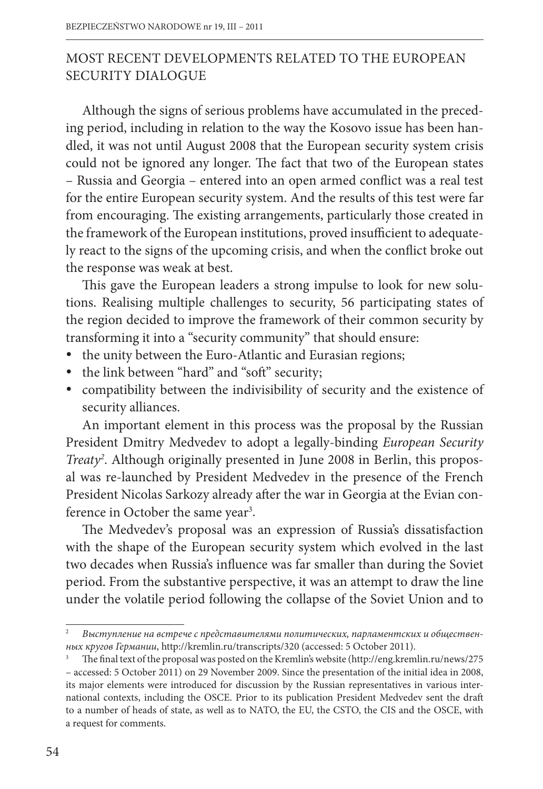# MOST RECENT DEVELOPMENTS RELATED TO THE EUROPEAN SECURITY DIALOGUE

Although the signs of serious problems have accumulated in the preceding period, including in relation to the way the Kosovo issue has been handled, it was not until August 2008 that the European security system crisis could not be ignored any longer. The fact that two of the European states – Russia and Georgia – entered into an open armed conflict was a real test for the entire European security system. And the results of this test were far from encouraging. The existing arrangements, particularly those created in the framework of the European institutions, proved insufficient to adequately react to the signs of the upcoming crisis, and when the conflict broke out the response was weak at best.

This gave the European leaders a strong impulse to look for new solutions. Realising multiple challenges to security, 56 participating states of the region decided to improve the framework of their common security by transforming it into a "security community" that should ensure:

- the unity between the Euro-Atlantic and Eurasian regions;
- the link between "hard" and "soft" security;
- compatibility between the indivisibility of security and the existence of security alliances.

An important element in this process was the proposal by the Russian President Dmitry Medvedev to adopt a legally-binding *European Security Treaty2* . Although originally presented in June 2008 in Berlin, this proposal was re-launched by President Medvedev in the presence of the French President Nicolas Sarkozy already after the war in Georgia at the Evian conference in October the same year<sup>3</sup>.

The Medvedev's proposal was an expression of Russia's dissatisfaction with the shape of the European security system which evolved in the last two decades when Russia's influence was far smaller than during the Soviet period. From the substantive perspective, it was an attempt to draw the line under the volatile period following the collapse of the Soviet Union and to

<sup>2</sup> *Выступление на встрече с представителями политических, парламентских и общественных кругов Германии*, http://kremlin.ru/transcripts/320 (accessed: 5 October 2011).

The final text of the proposal was posted on the Kremlin's website (http://eng.kremlin.ru/news/275 – accessed: 5 October 2011) on 29 November 2009. Since the presentation of the initial idea in 2008, its major elements were introduced for discussion by the Russian representatives in various international contexts, including the OSCE. Prior to its publication President Medvedev sent the draft to a number of heads of state, as well as to NATO, the EU, the CSTO, the CIS and the OSCE, with a request for comments.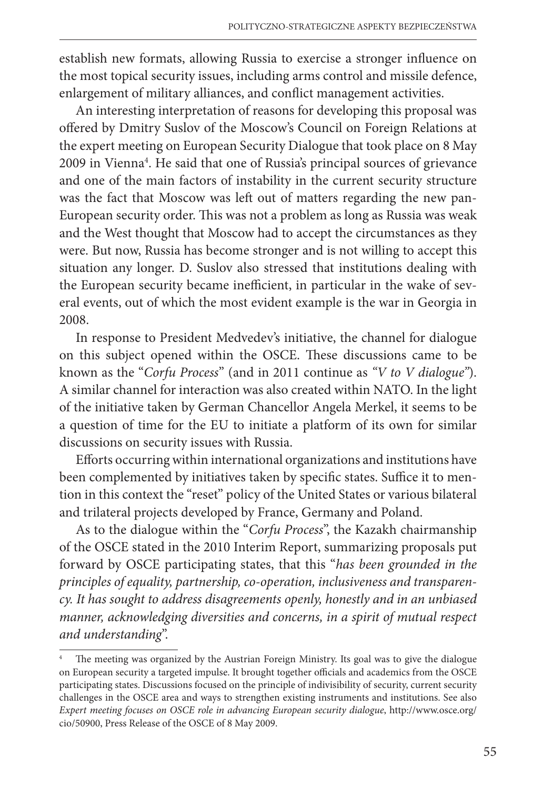establish new formats, allowing Russia to exercise a stronger influence on the most topical security issues, including arms control and missile defence, enlargement of military alliances, and conflict management activities.

An interesting interpretation of reasons for developing this proposal was offered by Dmitry Suslov of the Moscow's Council on Foreign Relations at the expert meeting on European Security Dialogue that took place on 8 May 2009 in Vienna4 . He said that one of Russia's principal sources of grievance and one of the main factors of instability in the current security structure was the fact that Moscow was left out of matters regarding the new pan-European security order. This was not a problem as long as Russia was weak and the West thought that Moscow had to accept the circumstances as they were. But now, Russia has become stronger and is not willing to accept this situation any longer. D. Suslov also stressed that institutions dealing with the European security became inefficient, in particular in the wake of several events, out of which the most evident example is the war in Georgia in 2008.

In response to President Medvedev's initiative, the channel for dialogue on this subject opened within the OSCE. These discussions came to be known as the "*Corfu Process*" (and in 2011 continue as *"V to V dialogue"*). A similar channel for interaction was also created within NATO. In the light of the initiative taken by German Chancellor Angela Merkel, it seems to be a question of time for the EU to initiate a platform of its own for similar discussions on security issues with Russia.

Efforts occurring within international organizations and institutions have been complemented by initiatives taken by specific states. Suffice it to mention in this context the "reset" policy of the United States or various bilateral and trilateral projects developed by France, Germany and Poland.

As to the dialogue within the "*Corfu Process*", the Kazakh chairmanship of the OSCE stated in the 2010 Interim Report, summarizing proposals put forward by OSCE participating states, that this "*has been grounded in the principles of equality, partnership, co-operation, inclusiveness and transparency. It has sought to address disagreements openly, honestly and in an unbiased manner, acknowledging diversities and concerns, in a spirit of mutual respect and understanding*".

The meeting was organized by the Austrian Foreign Ministry. Its goal was to give the dialogue on European security a targeted impulse. It brought together officials and academics from the OSCE participating states. Discussions focused on the principle of indivisibility of security, current security challenges in the OSCE area and ways to strengthen existing instruments and institutions. See also *Expert meeting focuses on OSCE role in advancing European security dialogue*, http://www.osce.org/ cio/50900, Press Release of the OSCE of 8 May 2009.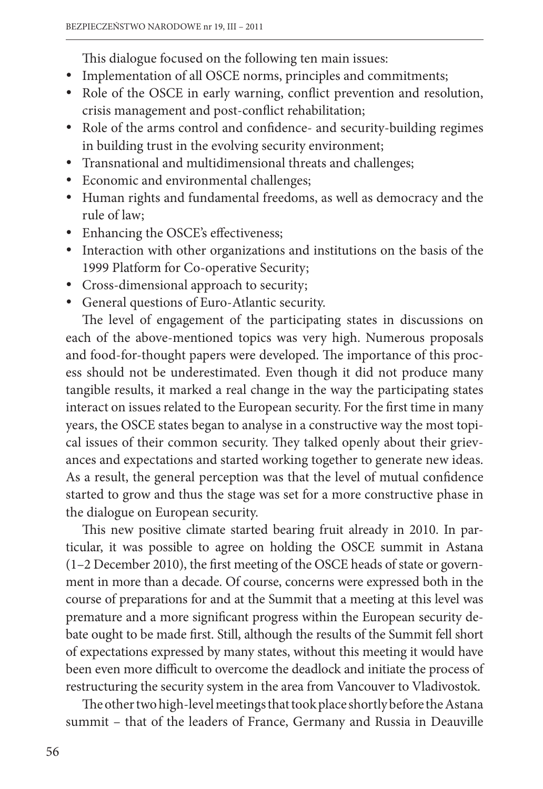This dialogue focused on the following ten main issues:

- Implementation of all OSCE norms, principles and commitments;
- Role of the OSCE in early warning, conflict prevention and resolution, crisis management and post-conflict rehabilitation;
- Role of the arms control and confidence- and security-building regimes in building trust in the evolving security environment;
- Transnational and multidimensional threats and challenges;
- Economic and environmental challenges;
- Human rights and fundamental freedoms, as well as democracy and the rule of law;
- Enhancing the OSCE's effectiveness;
- Interaction with other organizations and institutions on the basis of the 1999 Platform for Co-operative Security;
- Cross-dimensional approach to security;
- General questions of Euro-Atlantic security.

The level of engagement of the participating states in discussions on each of the above-mentioned topics was very high. Numerous proposals and food-for-thought papers were developed. The importance of this process should not be underestimated. Even though it did not produce many tangible results, it marked a real change in the way the participating states interact on issues related to the European security. For the first time in many years, the OSCE states began to analyse in a constructive way the most topical issues of their common security. They talked openly about their grievances and expectations and started working together to generate new ideas. As a result, the general perception was that the level of mutual confidence started to grow and thus the stage was set for a more constructive phase in the dialogue on European security.

This new positive climate started bearing fruit already in 2010. In particular, it was possible to agree on holding the OSCE summit in Astana  $(1-2$  December 2010), the first meeting of the OSCE heads of state or government in more than a decade. Of course, concerns were expressed both in the course of preparations for and at the Summit that a meeting at this level was premature and a more significant progress within the European security debate ought to be made first. Still, although the results of the Summit fell short of expectations expressed by many states, without this meeting it would have been even more difficult to overcome the deadlock and initiate the process of restructuring the security system in the area from Vancouver to Vladivostok.

The other two high-level meetings that took place shortly before the Astana summit – that of the leaders of France, Germany and Russia in Deauville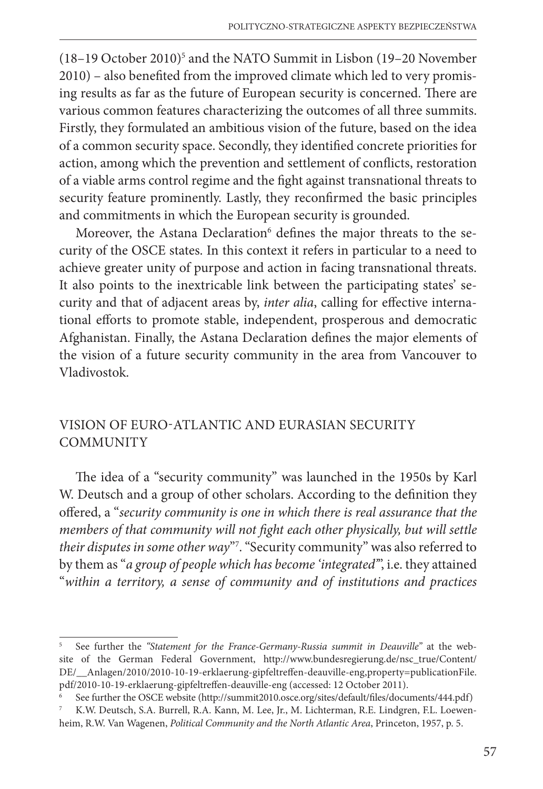(18–19 October 2010)<sup>5</sup> and the NATO Summit in Lisbon (19–20 November  $2010$ ) – also benefited from the improved climate which led to very promising results as far as the future of European security is concerned. There are various common features characterizing the outcomes of all three summits. Firstly, they formulated an ambitious vision of the future, based on the idea of a common security space. Secondly, they identified concrete priorities for action, among which the prevention and settlement of conflicts, restoration of a viable arms control regime and the fight against transnational threats to security feature prominently. Lastly, they reconfirmed the basic principles and commitments in which the European security is grounded.

Moreover, the Astana Declaration<sup>6</sup> defines the major threats to the security of the OSCE states. In this context it refers in particular to a need to achieve greater unity of purpose and action in facing transnational threats. It also points to the inextricable link between the participating states' security and that of adjacent areas by, *inter alia*, calling for effective international efforts to promote stable, independent, prosperous and democratic Afghanistan. Finally, the Astana Declaration defines the major elements of the vision of a future security community in the area from Vancouver to Vladivostok.

## VISION OF EURO-ATLANTIC AND EURASIAN SECURITY COMMUNITY

The idea of a "security community" was launched in the 1950s by Karl W. Deutsch and a group of other scholars. According to the definition they offered, a "security community is one in which there is real assurance that the *members of that community will not fight each other physically, but will settle their disputes in some other way*"7 . "Security community" was also referred to by them as "*a group of people which has become 'integrated'*", i.e. they attained "*within a territory, a sense of community and of institutions and practices* 

<sup>5</sup> See further the *"Statement for the France-Germany-Russia summit in Deauville"* at the website of the German Federal Government, http://www.bundesregierung.de/nsc\_true/Content/ DE/\_Anlagen/2010/2010-10-19-erklaerung-gipfeltreffen-deauville-eng,property=publicationFile. pdf/2010-10-19-erklaerung-gipfeltreffen-deauville-eng (accessed: 12 October 2011).

See further the OSCE website (http://summit2010.osce.org/sites/default/files/documents/444.pdf)

K.W. Deutsch, S.A. Burrell, R.A. Kann, M. Lee, Jr., M. Lichterman, R.E. Lindgren, F.L. Loewenheim, R.W. Van Wagenen, *Political Community and the North Atlantic Area*, Princeton, 1957, p. 5.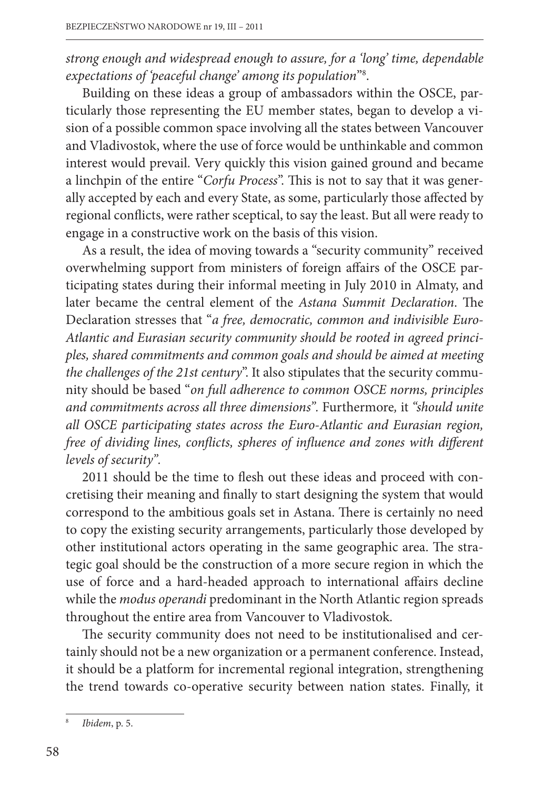*strong enough and widespread enough to assure, for a 'long' time, dependable expectations of 'peaceful change' among its population*"8 .

Building on these ideas a group of ambassadors within the OSCE, particularly those representing the EU member states, began to develop a vision of a possible common space involving all the states between Vancouver and Vladivostok, where the use of force would be unthinkable and common interest would prevail. Very quickly this vision gained ground and became a linchpin of the entire "Corfu Process". This is not to say that it was generally accepted by each and every State, as some, particularly those affected by regional conflicts, were rather sceptical, to say the least. But all were ready to engage in a constructive work on the basis of this vision.

As a result, the idea of moving towards a "security community" received overwhelming support from ministers of foreign affairs of the OSCE participating states during their informal meeting in July 2010 in Almaty, and later became the central element of the *Astana Summit Declaration*. The Declaration stresses that "*a free, democratic, common and indivisible Euro-Atlantic and Eurasian security community should be rooted in agreed principles, shared commitments and common goals and should be aimed at meeting the challenges of the 21st century*". It also stipulates that the security community should be based "*on full adherence to common OSCE norms, principles and commitments across all three dimensions".* Furthermore*,* it *"should unite all OSCE participating states across the Euro-Atlantic and Eurasian region, free of dividing lines, conflicts, spheres of influence and zones with different levels of security".*

2011 should be the time to flesh out these ideas and proceed with concretising their meaning and finally to start designing the system that would correspond to the ambitious goals set in Astana. There is certainly no need to copy the existing security arrangements, particularly those developed by other institutional actors operating in the same geographic area. The strategic goal should be the construction of a more secure region in which the use of force and a hard-headed approach to international affairs decline while the *modus operandi* predominant in the North Atlantic region spreads throughout the entire area from Vancouver to Vladivostok.

The security community does not need to be institutionalised and certainly should not be a new organization or a permanent conference. Instead, it should be a platform for incremental regional integration, strengthening the trend towards co-operative security between nation states. Finally, it

<sup>8</sup> *Ibidem*, p. 5.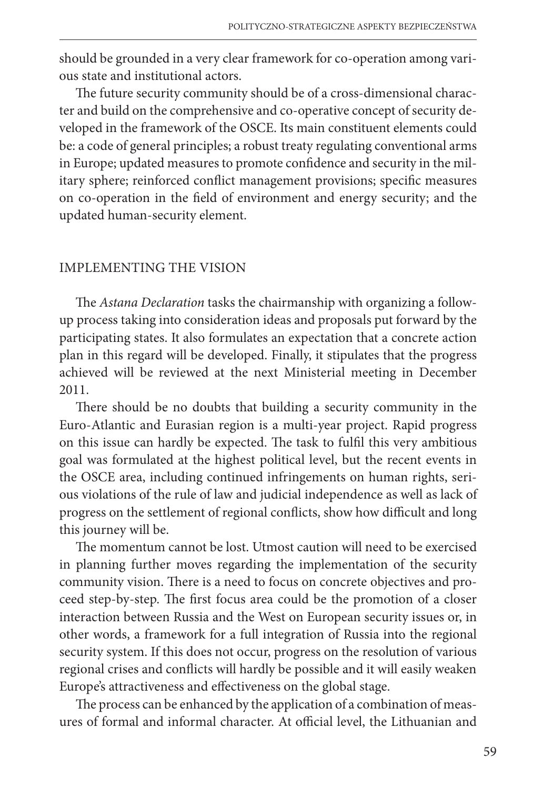should be grounded in a very clear framework for co-operation among various state and institutional actors.

The future security community should be of a cross-dimensional character and build on the comprehensive and co-operative concept of security developed in the framework of the OSCE. Its main constituent elements could be: a code of general principles; a robust treaty regulating conventional arms in Europe; updated measures to promote confidence and security in the military sphere; reinforced conflict management provisions; specific measures on co-operation in the field of environment and energy security; and the updated human-security element.

### IMPLEMENTING THE VISION

The *Astana Declaration* tasks the chairmanship with organizing a followup process taking into consideration ideas and proposals put forward by the participating states. It also formulates an expectation that a concrete action plan in this regard will be developed. Finally, it stipulates that the progress achieved will be reviewed at the next Ministerial meeting in December 2011.

There should be no doubts that building a security community in the Euro-Atlantic and Eurasian region is a multi-year project. Rapid progress on this issue can hardly be expected. The task to fulfil this very ambitious goal was formulated at the highest political level, but the recent events in the OSCE area, including continued infringements on human rights, serious violations of the rule of law and judicial independence as well as lack of progress on the settlement of regional conflicts, show how difficult and long this journey will be.

The momentum cannot be lost. Utmost caution will need to be exercised in planning further moves regarding the implementation of the security community vision. There is a need to focus on concrete objectives and proceed step-by-step. The first focus area could be the promotion of a closer interaction between Russia and the West on European security issues or, in other words, a framework for a full integration of Russia into the regional security system. If this does not occur, progress on the resolution of various regional crises and conflicts will hardly be possible and it will easily weaken Europe's attractiveness and effectiveness on the global stage.

The process can be enhanced by the application of a combination of measures of formal and informal character. At official level, the Lithuanian and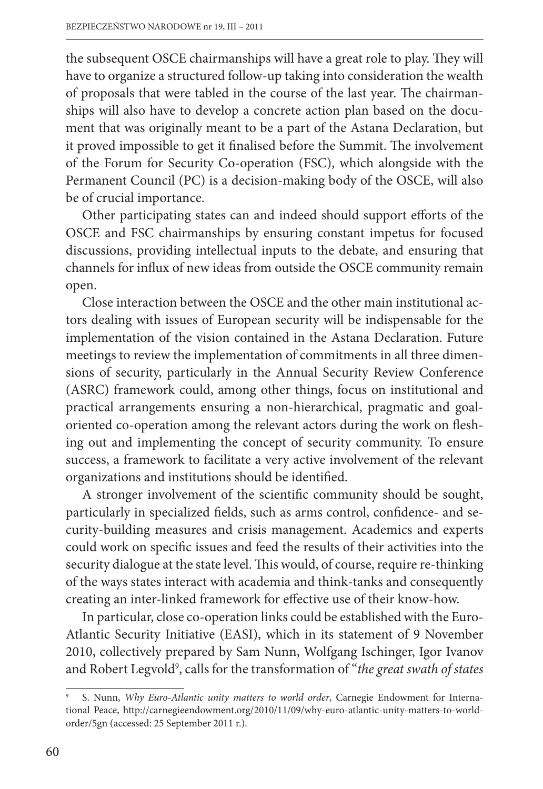the subsequent OSCE chairmanships will have a great role to play. They will have to organize a structured follow-up taking into consideration the wealth of proposals that were tabled in the course of the last year. The chairmanships will also have to develop a concrete action plan based on the document that was originally meant to be a part of the Astana Declaration, but it proved impossible to get it finalised before the Summit. The involvement of the Forum for Security Co-operation (FSC), which alongside with the Permanent Council (PC) is a decision-making body of the OSCE, will also be of crucial importance.

Other participating states can and indeed should support efforts of the OSCE and FSC chairmanships by ensuring constant impetus for focused discussions, providing intellectual inputs to the debate, and ensuring that channels for influx of new ideas from outside the OSCE community remain open.

Close interaction between the OSCE and the other main institutional actors dealing with issues of European security will be indispensable for the implementation of the vision contained in the Astana Declaration. Future meetings to review the implementation of commitments in all three dimensions of security, particularly in the Annual Security Review Conference (ASRC) framework could, among other things, focus on institutional and practical arrangements ensuring a non-hierarchical, pragmatic and goaloriented co-operation among the relevant actors during the work on fleshing out and implementing the concept of security community. To ensure success, a framework to facilitate a very active involvement of the relevant organizations and institutions should be identified.

A stronger involvement of the scientific community should be sought, particularly in specialized fields, such as arms control, confidence- and security-building measures and crisis management. Academics and experts could work on specific issues and feed the results of their activities into the security dialogue at the state level. This would, of course, require re-thinking of the ways states interact with academia and think-tanks and consequently creating an inter-linked framework for effective use of their know-how.

In particular, close co-operation links could be established with the Euro-Atlantic Security Initiative (EASI), which in its statement of 9 November 2010, collectively prepared by Sam Nunn, Wolfgang Ischinger, Igor Ivanov and Robert Legvold<sup>9</sup>, calls for the transformation of "*the great swath of states* 

<sup>9</sup> S. Nunn, *Why Euro-Atlantic unity matters to world order*, Carnegie Endowment for International Peace, http://carnegieendowment.org/2010/11/09/why-euro-atlantic-unity-matters-to-worldorder/5gn (accessed: 25 September 2011 r.).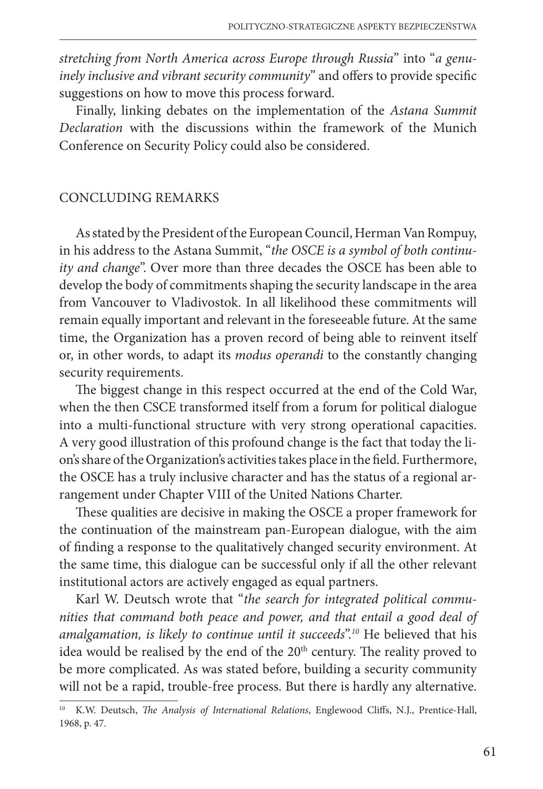*stretching from North America across Europe through Russia*" into "*a genuinely inclusive and vibrant security community*" and offers to provide specific suggestions on how to move this process forward.

Finally, linking debates on the implementation of the *Astana Summit Declaration* with the discussions within the framework of the Munich Conference on Security Policy could also be considered.

#### CONCLUDING REMARKS

As stated by the President of the European Council, Herman Van Rompuy, in his address to the Astana Summit, "*the OSCE is a symbol of both continuity and change*". Over more than three decades the OSCE has been able to develop the body of commitments shaping the security landscape in the area from Vancouver to Vladivostok. In all likelihood these commitments will remain equally important and relevant in the foreseeable future. At the same time, the Organization has a proven record of being able to reinvent itself or, in other words, to adapt its *modus operandi* to the constantly changing security requirements.

The biggest change in this respect occurred at the end of the Cold War, when the then CSCE transformed itself from a forum for political dialogue into a multi-functional structure with very strong operational capacities. A very good illustration of this profound change is the fact that today the lion's share of the Organization's activities takes place in the field. Furthermore, the OSCE has a truly inclusive character and has the status of a regional arrangement under Chapter VIII of the United Nations Charter.

These qualities are decisive in making the OSCE a proper framework for the continuation of the mainstream pan-European dialogue, with the aim of finding a response to the qualitatively changed security environment. At the same time, this dialogue can be successful only if all the other relevant institutional actors are actively engaged as equal partners.

Karl W. Deutsch wrote that "*the search for integrated political communities that command both peace and power, and that entail a good deal of amalgamation, is likely to continue until it succeeds*".*<sup>10</sup>* He believed that his idea would be realised by the end of the  $20<sup>th</sup>$  century. The reality proved to be more complicated. As was stated before, building a security community will not be a rapid, trouble-free process. But there is hardly any alternative.

<sup>&</sup>lt;sup>10</sup> K.W. Deutsch, *The Analysis of International Relations*, Englewood Cliffs, N.J., Prentice-Hall, 1968, p. 47.